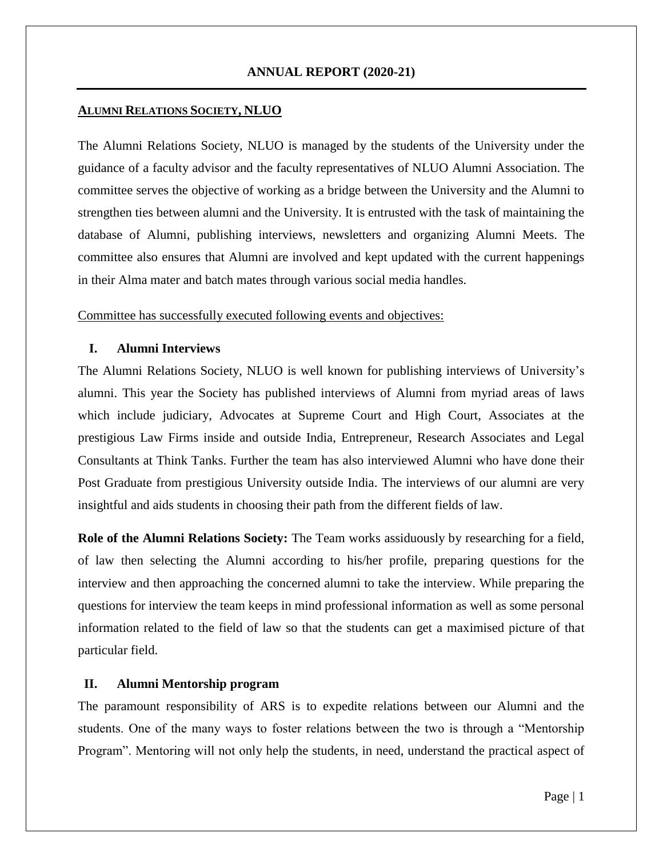# **ANNUAL REPORT (2020-21)**

### **ALUMNI RELATIONS SOCIETY, NLUO**

The Alumni Relations Society, NLUO is managed by the students of the University under the guidance of a faculty advisor and the faculty representatives of NLUO Alumni Association. The committee serves the objective of working as a bridge between the University and the Alumni to strengthen ties between alumni and the University. It is entrusted with the task of maintaining the database of Alumni, publishing interviews, newsletters and organizing Alumni Meets. The committee also ensures that Alumni are involved and kept updated with the current happenings in their Alma mater and batch mates through various social media handles.

Committee has successfully executed following events and objectives:

#### **I. Alumni Interviews**

The Alumni Relations Society, NLUO is well known for publishing interviews of University's alumni. This year the Society has published interviews of Alumni from myriad areas of laws which include judiciary, Advocates at Supreme Court and High Court, Associates at the prestigious Law Firms inside and outside India, Entrepreneur, Research Associates and Legal Consultants at Think Tanks. Further the team has also interviewed Alumni who have done their Post Graduate from prestigious University outside India. The interviews of our alumni are very insightful and aids students in choosing their path from the different fields of law.

**Role of the Alumni Relations Society:** The Team works assiduously by researching for a field, of law then selecting the Alumni according to his/her profile, preparing questions for the interview and then approaching the concerned alumni to take the interview. While preparing the questions for interview the team keeps in mind professional information as well as some personal information related to the field of law so that the students can get a maximised picture of that particular field.

## **II. Alumni Mentorship program**

The paramount responsibility of ARS is to expedite relations between our Alumni and the students. One of the many ways to foster relations between the two is through a "Mentorship Program". Mentoring will not only help the students, in need, understand the practical aspect of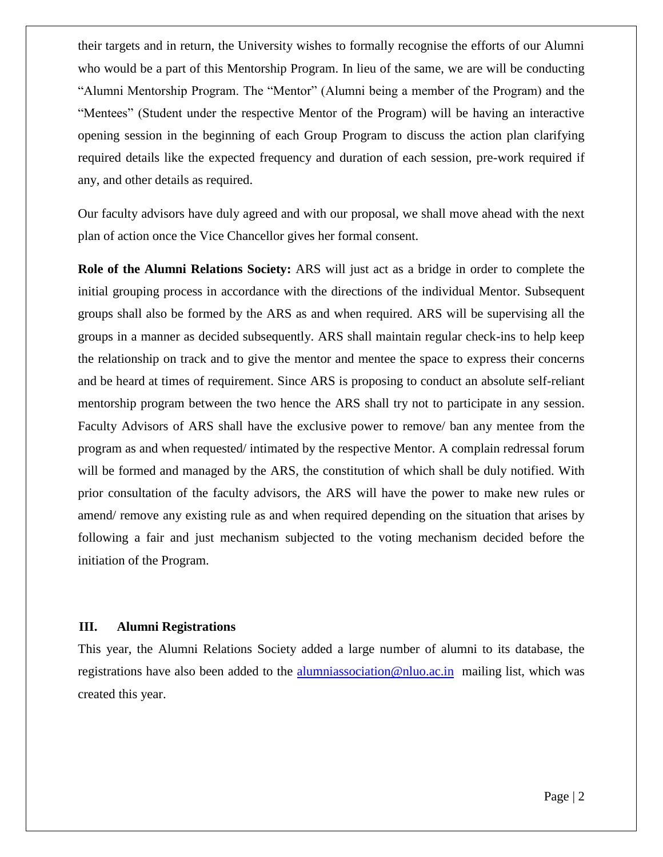their targets and in return, the University wishes to formally recognise the efforts of our Alumni who would be a part of this Mentorship Program. In lieu of the same, we are will be conducting "Alumni Mentorship Program. The "Mentor" (Alumni being a member of the Program) and the "Mentees" (Student under the respective Mentor of the Program) will be having an interactive opening session in the beginning of each Group Program to discuss the action plan clarifying required details like the expected frequency and duration of each session, pre-work required if any, and other details as required.

Our faculty advisors have duly agreed and with our proposal, we shall move ahead with the next plan of action once the Vice Chancellor gives her formal consent.

**Role of the Alumni Relations Society:** ARS will just act as a bridge in order to complete the initial grouping process in accordance with the directions of the individual Mentor. Subsequent groups shall also be formed by the ARS as and when required. ARS will be supervising all the groups in a manner as decided subsequently. ARS shall maintain regular check-ins to help keep the relationship on track and to give the mentor and mentee the space to express their concerns and be heard at times of requirement. Since ARS is proposing to conduct an absolute self-reliant mentorship program between the two hence the ARS shall try not to participate in any session. Faculty Advisors of ARS shall have the exclusive power to remove/ ban any mentee from the program as and when requested/ intimated by the respective Mentor. A complain redressal forum will be formed and managed by the ARS, the constitution of which shall be duly notified. With prior consultation of the faculty advisors, the ARS will have the power to make new rules or amend/ remove any existing rule as and when required depending on the situation that arises by following a fair and just mechanism subjected to the voting mechanism decided before the initiation of the Program.

#### **III. Alumni Registrations**

This year, the Alumni Relations Society added a large number of alumni to its database, the registrations have also been added to the [alumniassociation@nluo.ac.in](mailto:alumniassociation@nluo.ac.in) mailing list, which was created this year.